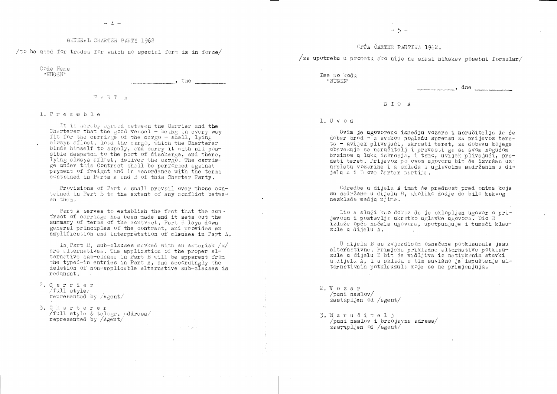### GENERAL CHARTER PARTY 1962

/to be used for trades for which no special form is in force/

Code Name "NUGEN"

 $, then$ ,  $the$ 

## $P A R T A$

 $1.$  Presmble

It is hereby agreed between the Carrier and the Charterer that the good vessel - being in every way fit for the carriage of the cargo - shall, lying always afloat, load the cargo, which the Charterer binds himself to supply, and carry it with all possible despatch to the port of discharge, and there, lying always afloat, deliver the cargo. The carrie-<br>ge under this Contract shall be performed against payment of freight and in accordance with the terms contained in Parts A and B of this Charter Party.

Provisions of Part A shall prevail over those contained in Part B to the extent of any conflict between them.

Part A serves to establish the fact that the contract of carriage has been made and it sets out the summary of terms of the contract. Part B lays down general principles of the contract, and provides an amplification and interpretation of clauses in Part A.

In Part B, sub-clauses marked with an asterisk  $/x/$ are alternatives. The application of the proper alternative sub-clause in Part B will be apparent from the typed-in entries in Part A, and accordingly the deletion of non-applicable alternative sub-clauses is redunant.

- 2. Carrier  $/\text{full style}$ represented by *Agent*/
- 3. Charterer /full style & telegr. address/ represented by  $/$ Agent $/$

 $-5 -$ 

# OPĆA ČARTER PARTIJA 1962.

/za upotrebu u prometu ako nije na snazi nikakav posebni formular/

Ime po kodu "NUGEN"

# $D I O A$

### $1.$  U v o d

Ovim je ugovoreno izmedju vozara i noručitelja da će dober brod - u svekom pogledu spremen za prijevoz tereta - uvijek plivajući, ukroati teret, za dobavu kojega obavezuje se naručitelj i prevesti ga sa svom mogućom brzinom u luku iskrcaja, i tamo, uvijek plivajući, predati teret. Prijevoz po ovom ugovoru bit će izvršen uz naplatu vozarine i u skladu s uglavcima sadržanim u dijelu A i B ove čarter partije.

Odredbe u dijelu A imat će prednost pred onima koje su sadržane u dijelu B. ukoliko dodje do bilo kakvog nesklada medju njima.

Dio A služi kao dokaz da je sklopljen ugovor o prijevozu i postavlja ukratko uglavke ugovora. Dio B izlaže opća načela ugovora, upotpunjuje i tumači klauzule u dijelu A.

U dijelu B sa zvjezdicom označene potklauzule jesu alternativne. Primjena prikladne alternative potklauzule u dijelu B biť će vidljiva iz natipkanih stavki u dijelu A, i u skladu s tim suvišno je ispuštanje alternativnih potklauzula koje se ne primjenjuju.

 $2. V$  o z a r  $\sqrt{$ puni naslov $\sqrt{ }$ zastupljen od /agent/

 $\sqrt{2}$ 

 $\sim 120\,$  km

3. Naručitelj  $\sqrt{p}$ uni naslov i brzojavna adresa $\sqrt{p}$ zast $\sqrt{1}$ ien od  $\sqrt{2}$ 

 $dne$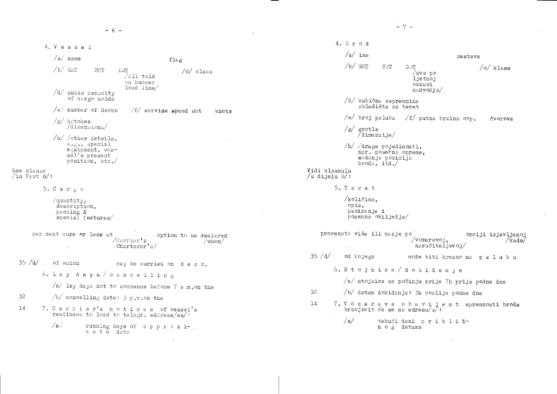$\mathcal{L}^{\mathcal{L}}$  $-7 -6 4. \text{Br} \circ d$ 4. Vessel  $\sqrt{a}/\text{ime}$ zastava  $/a/$  name flag  $/b/$  GRT NRT DWP  $\sqrt{\circ}$  klasa  $/b/$  GRT **NRT DWT**  $/c/$  class  $/svepo$  $/$ all told ljetnoj on Summer oznaci  $load$   $line/$ nadvodja/  $/d/$  cubic capacity of cargo holds  $d/d$  kubična zapremnina skladišta za teret  $/e/$  number of decks  $f/f$  service speed abt knots /e/ broj paluba /f/ putna brzina otp. čvorova  $/g/$  hatches /dimensions/  $/g/$  grotla  $\frac{7}{\text{dime}}$   $nz$  ije $\frac{1}{2}$  $/h/$  /other details,  $e, \epsilon,$ , special  $/h/$  /druge pojedinosti, equipment, vesnpr. posebna oprema. sel's present sadanja pozicija position, etc. broda,  $itd$ . See clause Vidi klauzulu  $\sin$  Part B/: /u dijelu  $B/$ : 5. Teret 5.  $C$  a  $r$   $g$   $o$ /količina,  $\sqrt{q}$ uantity, opis. description. pakiranje i packing & posebna obilježja/ special features/ procenata više ili manje po per cent more or less at opciji izjavljenoj option to be declared /vozarevoj.  $/Carrier's$  $/kada/$  $/when/$ naručiteljevoj/  $Charterer's/$  $35 / d/$ od kojega može biti krcano na palubu  $35 / d/$ of waich may be carried on deck. 6. Stojnice / dokidanje 6. Laydays/cancelling  $/a/$  stojnice ne počinju prije 7h prije podne dne  $\sqrt{a}/$  lay days not to commence before 7  $\epsilon$ .m.on the 32 /b/ datum dokidanja: 3h poslije podne dne 32  $/b/$  cancelling date:  $\frac{1}{2}$  p.m.on the 7. Vozareva obavijest spremnosti broda  $14$ 7. Carrier's notices of vessel's  $14$ brzojavit će se na adresu/e/: readiness to load to telegr. address/es/:  $/a/$ tekući dani približ- $/a/$ running days of approxin o g datuma m a t e date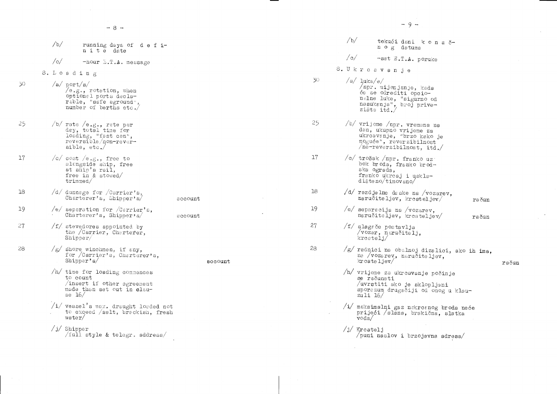|                 | /b/<br>n i t e date                                                                                                   | running days of defi- |                 | /b/            | tekući dani k<br>n o g datuma                                                                                                          |
|-----------------|-----------------------------------------------------------------------------------------------------------------------|-----------------------|-----------------|----------------|----------------------------------------------------------------------------------------------------------------------------------------|
|                 | /c/<br>-hour E.T.A. message                                                                                           |                       |                 | $\sqrt{\circ}$ | -sat E.T.A. por                                                                                                                        |
|                 | 8. Loading                                                                                                            |                       |                 | 8. Ukrcavanje  |                                                                                                                                        |
| 30 <sup>°</sup> | $/a$ port/s/<br>/e.g., rotation, when<br>optional ports decla-<br>$r$ able, "safe aground",<br>number of berths etc./ |                       | 30 <sup>°</sup> | $/a/$ luka/e/  | /npr. mijenjanje, kao<br>će se odrediti opcio-<br>nalne luke, "sigurno<br>nasukanja", broj pri<br>zišta itd./                          |
| 25              | $/b/$ rate /e.g., rate per<br>day, total time for<br>loading, "fast can",<br>reversible/non-rever-<br>sible, $etc.$   |                       | 25              |                | /b/ vrijeme /npr. vremena<br>dan, ukupno vrijeme z<br>ukrcavanje, "brzo kał<br>moguće", reverzibilno<br>$\sqrt{ne-reversibilnost}$ , i |
| 17              | $\sqrt{c}/ \cosh / e . g .$ , free to<br>alongside ship, free<br>at ship's rail,<br>free in $&$ stowed/<br>triangle/  |                       | 17              |                | /o/ trošak /npr. franko u<br>bok broda, franko bro<br>ska ograda,<br>franko ukreaj i uskla<br>$dis$ teno/timovano/                     |
| 18              | /d/ dunnage for /Carrier's,<br>Charterer's, Shipper's/                                                                | account               | 18              |                | $/d/$ razdjelne daske na /v<br>naručiteljev, kreatel                                                                                   |
| 19              | /e/ separation for $/Cerrier$ 's,<br>Charterer's, Shipper's/                                                          | account               | 19              |                | /e/ separacija na /vozare<br>naručiteljev, krcatel                                                                                     |
| 27              | /f/ stevedores appointed by<br>the /Carrier, Charterer,<br>$\texttt{Shipper}\!/$                                      |                       | 27              |                | /f/ slagade postavlja<br>/vozar, naručitelj,<br>$k$ rcatelj $/$                                                                        |
| 28              | $/g/$ shore winchmen, if any,<br>for /Carrier's, Charterer's,<br>$\text{Shipper's}$                                   | account               | 28              |                | /g/ radnici na obalnoj di<br>na /vozarev, naručite<br>$kr$ cateljev $/$                                                                |
|                 | /h/ time for loading commences<br>to count<br>insert if other agreement<br>made than set out in clau-<br>se $16/$     |                       |                 |                | /h/ vrijeme za ukrcavanje<br>se računati<br>/uvrstiti ako je sklo<br>sporazum drugačiji od<br>zuli $16/$                               |
|                 | $/$ i/ vessel's max. draught loaded not<br>to exceed /salt, brackish, fresh<br>water/                                 |                       |                 | voda/          | /i/ maksimalni gaz nakrca:<br>prijeći /slana, braki                                                                                    |
|                 | $/j/$ Shipper<br>/full style & telegr. address/                                                                       |                       |                 | $/j/$ Kreatelj | /puni naslov i brzoja                                                                                                                  |
|                 |                                                                                                                       |                       |                 |                |                                                                                                                                        |

 $\overline{R}$ 

 $\sim 10^6$ 

 $-9 -$ 

on a  $\delta$ uke<sup>.</sup> ada<br>) od  $ve$ a na  $\frac{z_8}{z_8}$ <br>ko je<br>lost<br>itd./ uz<br>od- $\frac{1}{2}$ vozarev,<br>Ljev/ račun <sup>ev,</sup><br>-jev∕ račun izalici, ako ih ima,<br>eljev, račun počinje opljeni<br><sup>i ono</sup>g u klauanog broda neće<br>ična, slatka  $\frac{1}{2}$ adresa $\frac{1}{2}$ 

 $\langle \cdot \rangle$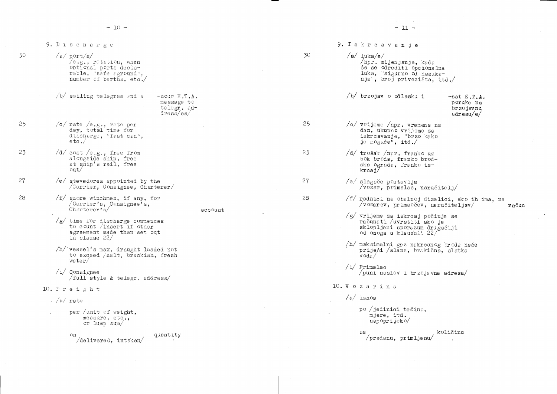9. Iskrcavanje 9. Discharge 30  $/a/$ luka/e/  $30$  $/a$  port/s/  $\sqrt{e} \cdot g \cdot$ , rotation, when /npr. mijenjanje, kada optional ports declaće se odrediti opcionalna rable, "safe aground", luka, "sigurno od nasuka-<br>nja", broj privezišta, itd./ number of berths, etc./ /b/ brzojav o odlasku i  $/b/$  sailing telegram and a  $-nour E.T.A.$ message to telegr. ad- $\frac{dres}{s}$ /es/ 25 25 /c/ rate /e.g., rate per  $\sqrt{c}$  vrijeme  $\sqrt{npr}$ . vremena na day, total time for dan, ukupno vrijeme za discharge, "fast can", iskrcavanje, "brzo kako<br>je moguće", itd./  $etc.$  $/d/$  cost /e.g., free from 23 23 /d/ trošak /npr. franko uz alongside ship, free bok broda, franko brodat ship's rail, free ska ograda, franko isout/  $k$ rcaj $7$ 27  $/e/$  steved ores appointed by the 27  $/e/$  slagače postavlja /Carrier, Consignee, Charterer/ /vozer, primalac, naručiteli/ 28  $/f/$  snore winchmen, if any, for 28 /Carrier's, Consignee's,  $\sqrt{v}$  ozarev, primaočev, naručiteljev $\sqrt{v}$  $Cherterer's/$ account /g/ vrijeme za iskrcaj počinje se<br>računati /uvrstiti ako je /g/ time for discharge commences<br>to count /insert if other sklopljeni sporszum drugačiji agreement made than set out od onoga u klauzuli 22/ in clause 22/ /h/ maksimalni gaz nakroanog broda neće /h/ vessel's max. draught loaded not prijeći /slana, brakična, slatka to exceed /salt, brackish, fresh  $\overline{v}$  oda $/$  $water/$  $/i$  Primalac  $/i/$  Consignee /puni naslov i brzojavna adresa/  $/\text{full}$  style & telegr. address/ 10. V o z a r i n a  $10.$  Freight  $/a/$  iznos  $\frac{1}{2}$  / a/ rate po /jedinici težine, per / unit of weight, mjere, itd. messure, etc., napoprijeko/ or  $lump$  sum/ quantity on  $\sqrt{pr}$ edanu, primljenu/  $/\text{delivered, intaken}/$ 

 $-11 -$ 

```
-sat E.T.A.poruke na
                                brzojsvnu
                                adresu/e/
/f/ radnici na obalnoj dizalici, ako ih ima, na
                                                 račun
                           količinu
```